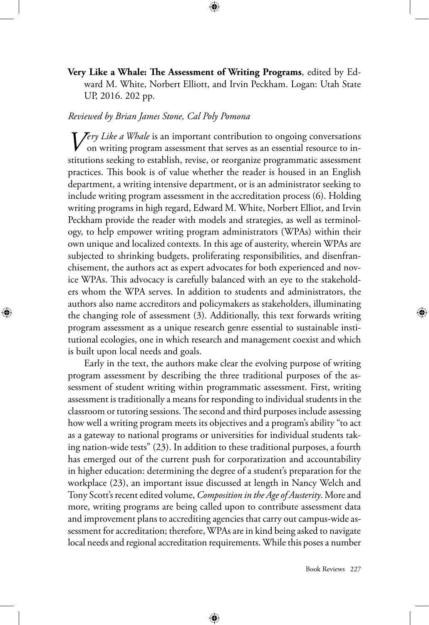**Very Like a Whale: The Assessment of Writing Programs**, edited by Edward M. White, Norbert Elliott, and Irvin Peckham. Logan: Utah State UP, 2016. 202 pp.

⊕

## *Reviewed by Brian James Stone, Cal Poly Pomona*

⊕

*Very Like a Whale* is an important contribution to ongoing conversations on writing program assessment that serves as an essential resource to institutions seeking to establish, revise, or reorganize programmatic assessment practices. This book is of value whether the reader is housed in an English department, a writing intensive department, or is an administrator seeking to include writing program assessment in the accreditation process (6). Holding writing programs in high regard, Edward M. White, Norbert Elliot, and Irvin Peckham provide the reader with models and strategies, as well as terminology, to help empower writing program administrators (WPAs) within their own unique and localized contexts. In this age of austerity, wherein WPAs are subjected to shrinking budgets, proliferating responsibilities, and disenfranchisement, the authors act as expert advocates for both experienced and novice WPAs. This advocacy is carefully balanced with an eye to the stakeholders whom the WPA serves. In addition to students and administrators, the authors also name accreditors and policymakers as stakeholders, illuminating the changing role of assessment (3). Additionally, this text forwards writing program assessment as a unique research genre essential to sustainable institutional ecologies, one in which research and management coexist and which is built upon local needs and goals.

Early in the text, the authors make clear the evolving purpose of writing program assessment by describing the three traditional purposes of the assessment of student writing within programmatic assessment. First, writing assessment is traditionally a means for responding to individual students in the classroom or tutoring sessions. The second and third purposes include assessing how well a writing program meets its objectives and a program's ability "to act as a gateway to national programs or universities for individual students taking nation-wide tests" (23). In addition to these traditional purposes, a fourth has emerged out of the current push for corporatization and accountability in higher education: determining the degree of a student's preparation for the workplace (23), an important issue discussed at length in Nancy Welch and Tony Scott's recent edited volume, *Composition in the Age of Austerity*. More and more, writing programs are being called upon to contribute assessment data and improvement plans to accrediting agencies that carry out campus-wide assessment for accreditation; therefore, WPAs are in kind being asked to navigate local needs and regional accreditation requirements. While this poses a number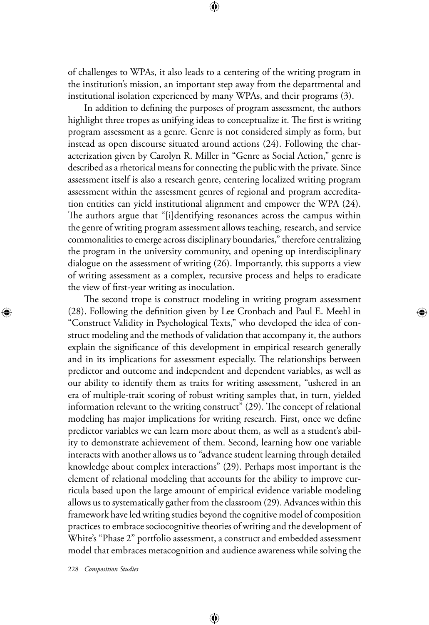of challenges to WPAs, it also leads to a centering of the writing program in the institution's mission, an important step away from the departmental and institutional isolation experienced by many WPAs, and their programs (3).

In addition to defining the purposes of program assessment, the authors highlight three tropes as unifying ideas to conceptualize it. The first is writing program assessment as a genre. Genre is not considered simply as form, but instead as open discourse situated around actions (24). Following the characterization given by Carolyn R. Miller in "Genre as Social Action," genre is described as a rhetorical means for connecting the public with the private. Since assessment itself is also a research genre, centering localized writing program assessment within the assessment genres of regional and program accreditation entities can yield institutional alignment and empower the WPA (24). The authors argue that "[i]dentifying resonances across the campus within the genre of writing program assessment allows teaching, research, and service commonalities to emerge across disciplinary boundaries," therefore centralizing the program in the university community, and opening up interdisciplinary dialogue on the assessment of writing (26). Importantly, this supports a view of writing assessment as a complex, recursive process and helps to eradicate the view of first-year writing as inoculation.

The second trope is construct modeling in writing program assessment (28). Following the definition given by Lee Cronbach and Paul E. Meehl in "Construct Validity in Psychological Texts," who developed the idea of construct modeling and the methods of validation that accompany it, the authors explain the significance of this development in empirical research generally and in its implications for assessment especially. The relationships between predictor and outcome and independent and dependent variables, as well as our ability to identify them as traits for writing assessment, "ushered in an era of multiple-trait scoring of robust writing samples that, in turn, yielded information relevant to the writing construct" (29). The concept of relational modeling has major implications for writing research. First, once we define predictor variables we can learn more about them, as well as a student's ability to demonstrate achievement of them. Second, learning how one variable interacts with another allows us to "advance student learning through detailed knowledge about complex interactions" (29). Perhaps most important is the element of relational modeling that accounts for the ability to improve curricula based upon the large amount of empirical evidence variable modeling allows us to systematically gather from the classroom (29). Advances within this framework have led writing studies beyond the cognitive model of composition practices to embrace sociocognitive theories of writing and the development of White's "Phase 2" portfolio assessment, a construct and embedded assessment model that embraces metacognition and audience awareness while solving the

⊕

228 *Composition Studies*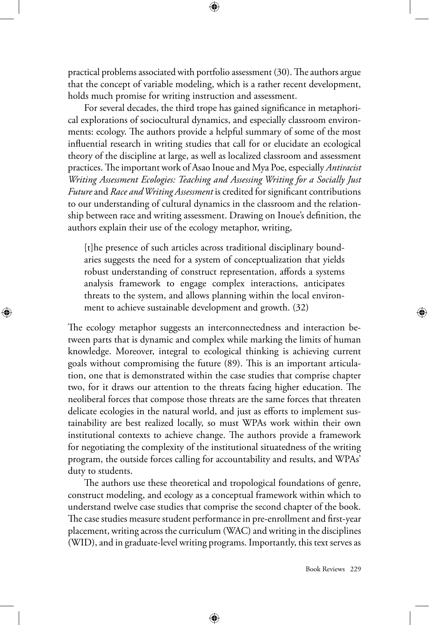practical problems associated with portfolio assessment (30). The authors argue that the concept of variable modeling, which is a rather recent development, holds much promise for writing instruction and assessment.

⊕

For several decades, the third trope has gained significance in metaphorical explorations of sociocultural dynamics, and especially classroom environments: ecology. The authors provide a helpful summary of some of the most influential research in writing studies that call for or elucidate an ecological theory of the discipline at large, as well as localized classroom and assessment practices. The important work of Asao Inoue and Mya Poe, especially *Antiracist Writing Assessment Ecologies: Teaching and Assessing Writing for a Socially Just Future* and *Race and Writing Assessment* is credited for significant contributions to our understanding of cultural dynamics in the classroom and the relationship between race and writing assessment. Drawing on Inoue's definition, the authors explain their use of the ecology metaphor, writing,

[t]he presence of such articles across traditional disciplinary boundaries suggests the need for a system of conceptualization that yields robust understanding of construct representation, affords a systems analysis framework to engage complex interactions, anticipates threats to the system, and allows planning within the local environment to achieve sustainable development and growth. (32)

⊕

The ecology metaphor suggests an interconnectedness and interaction between parts that is dynamic and complex while marking the limits of human knowledge. Moreover, integral to ecological thinking is achieving current goals without compromising the future (89). This is an important articulation, one that is demonstrated within the case studies that comprise chapter two, for it draws our attention to the threats facing higher education. The neoliberal forces that compose those threats are the same forces that threaten delicate ecologies in the natural world, and just as efforts to implement sustainability are best realized locally, so must WPAs work within their own institutional contexts to achieve change. The authors provide a framework for negotiating the complexity of the institutional situatedness of the writing program, the outside forces calling for accountability and results, and WPAs' duty to students.

The authors use these theoretical and tropological foundations of genre, construct modeling, and ecology as a conceptual framework within which to understand twelve case studies that comprise the second chapter of the book. The case studies measure student performance in pre-enrollment and first-year placement, writing across the curriculum (WAC) and writing in the disciplines (WID), and in graduate-level writing programs. Importantly, this text serves as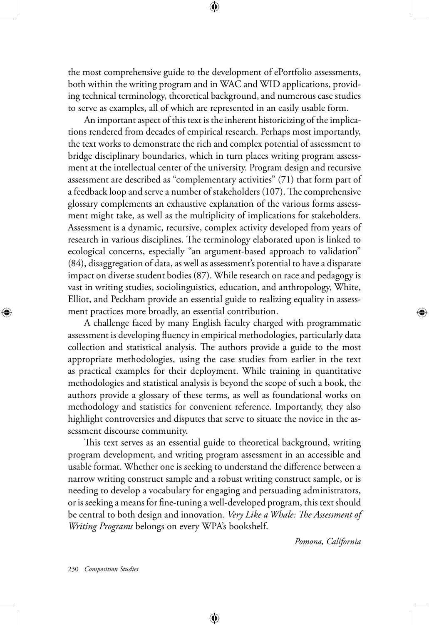the most comprehensive guide to the development of ePortfolio assessments, both within the writing program and in WAC and WID applications, providing technical terminology, theoretical background, and numerous case studies to serve as examples, all of which are represented in an easily usable form.

⊕

An important aspect of this text is the inherent historicizing of the implications rendered from decades of empirical research. Perhaps most importantly, the text works to demonstrate the rich and complex potential of assessment to bridge disciplinary boundaries, which in turn places writing program assessment at the intellectual center of the university. Program design and recursive assessment are described as "complementary activities" (71) that form part of a feedback loop and serve a number of stakeholders (107). The comprehensive glossary complements an exhaustive explanation of the various forms assessment might take, as well as the multiplicity of implications for stakeholders. Assessment is a dynamic, recursive, complex activity developed from years of research in various disciplines. The terminology elaborated upon is linked to ecological concerns, especially "an argument-based approach to validation" (84), disaggregation of data, as well as assessment's potential to have a disparate impact on diverse student bodies (87). While research on race and pedagogy is vast in writing studies, sociolinguistics, education, and anthropology, White, Elliot, and Peckham provide an essential guide to realizing equality in assessment practices more broadly, an essential contribution.

A challenge faced by many English faculty charged with programmatic assessment is developing fluency in empirical methodologies, particularly data collection and statistical analysis. The authors provide a guide to the most appropriate methodologies, using the case studies from earlier in the text as practical examples for their deployment. While training in quantitative methodologies and statistical analysis is beyond the scope of such a book, the authors provide a glossary of these terms, as well as foundational works on methodology and statistics for convenient reference. Importantly, they also highlight controversies and disputes that serve to situate the novice in the assessment discourse community.

This text serves as an essential guide to theoretical background, writing program development, and writing program assessment in an accessible and usable format. Whether one is seeking to understand the difference between a narrow writing construct sample and a robust writing construct sample, or is needing to develop a vocabulary for engaging and persuading administrators, or is seeking a means for fine-tuning a well-developed program, this text should be central to both design and innovation. *Very Like a Whale: The Assessment of Writing Programs* belongs on every WPA's bookshelf.

⊕

*Pomona, California*